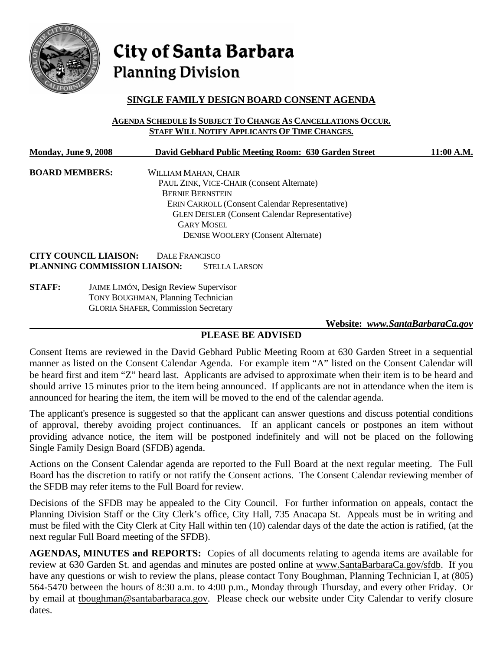

# City of Santa Barbara **Planning Division**

## **SINGLE FAMILY DESIGN BOARD CONSENT AGENDA**

**AGENDA SCHEDULE IS SUBJECT TO CHANGE AS CANCELLATIONS OCCUR. STAFF WILL NOTIFY APPLICANTS OF TIME CHANGES.**

| <b>Monday, June 9, 2008</b>  | David Gebhard Public Meeting Room: 630 Garden Street                                                                                               | 11:00 A.M. |
|------------------------------|----------------------------------------------------------------------------------------------------------------------------------------------------|------------|
| <b>BOARD MEMBERS:</b>        | WILLIAM MAHAN, CHAIR                                                                                                                               |            |
|                              | PAUL ZINK, VICE-CHAIR (Consent Alternate)                                                                                                          |            |
|                              | <b>BERNIE BERNSTEIN</b>                                                                                                                            |            |
|                              | <b>ERIN CARROLL (Consent Calendar Representative)</b>                                                                                              |            |
|                              | <b>GLEN DEISLER (Consent Calendar Representative)</b>                                                                                              |            |
|                              | <b>GARY MOSEL</b>                                                                                                                                  |            |
|                              | <b>DENISE WOOLERY (Consent Alternate)</b>                                                                                                          |            |
| <b>CITY COUNCIL LIAISON:</b> | DALE FRANCISCO                                                                                                                                     |            |
| PLANNING COMMISSION LIAISON: | <b>STELLA LARSON</b>                                                                                                                               |            |
| CT A ELL.                    | $L_{\rm B}$ in $L_{\rm B}$ is $L_{\rm B}$ in $L_{\rm B}$ in $L_{\rm B}$ in $L_{\rm B}$ in $L_{\rm B}$ is $L_{\rm B}$ in $L_{\rm B}$ in $L_{\rm B}$ |            |

**STAFF:** JAIME LIMÓN, Design Review Supervisor TONY BOUGHMAN, Planning Technician GLORIA SHAFER, Commission Secretary

 **Website:** *[www.SantaBarbaraCa.gov](http://www.santabarbaraca.gov/)*

## **PLEASE BE ADVISED**

Consent Items are reviewed in the David Gebhard Public Meeting Room at 630 Garden Street in a sequential manner as listed on the Consent Calendar Agenda. For example item "A" listed on the Consent Calendar will be heard first and item "Z" heard last. Applicants are advised to approximate when their item is to be heard and should arrive 15 minutes prior to the item being announced. If applicants are not in attendance when the item is announced for hearing the item, the item will be moved to the end of the calendar agenda.

The applicant's presence is suggested so that the applicant can answer questions and discuss potential conditions of approval, thereby avoiding project continuances. If an applicant cancels or postpones an item without providing advance notice, the item will be postponed indefinitely and will not be placed on the following Single Family Design Board (SFDB) agenda.

Actions on the Consent Calendar agenda are reported to the Full Board at the next regular meeting. The Full Board has the discretion to ratify or not ratify the Consent actions. The Consent Calendar reviewing member of the SFDB may refer items to the Full Board for review.

Decisions of the SFDB may be appealed to the City Council. For further information on appeals, contact the Planning Division Staff or the City Clerk's office, City Hall, 735 Anacapa St. Appeals must be in writing and must be filed with the City Clerk at City Hall within ten (10) calendar days of the date the action is ratified, (at the next regular Full Board meeting of the SFDB).

**AGENDAS, MINUTES and REPORTS:** Copies of all documents relating to agenda items are available for review at 630 Garden St. and agendas and minutes are posted online at [www.SantaBarbaraCa.gov/sfdb.](http://www.santabarbaraca.gov/sfdb) If you have any questions or wish to review the plans, please contact Tony Boughman, Planning Technician I, at (805) 564-5470 between the hours of 8:30 a.m. to 4:00 p.m., Monday through Thursday, and every other Friday. Or by email at [tboughman@santabarbaraca.gov.](mailto:tboughman@santabarbaraca.gov) Please check our website under City Calendar to verify closure dates.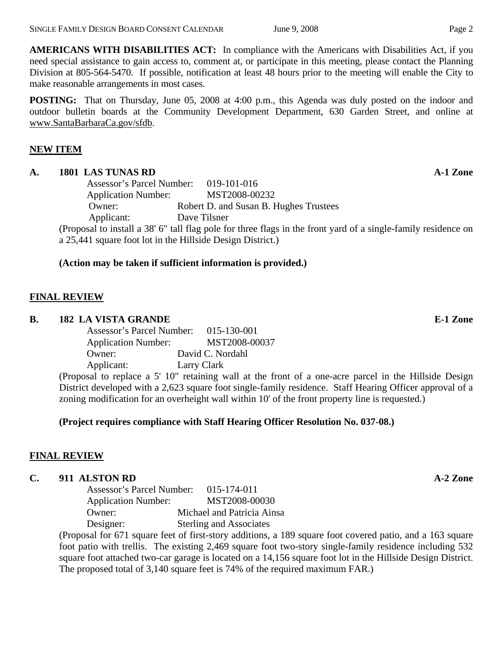**AMERICANS WITH DISABILITIES ACT:** In compliance with the Americans with Disabilities Act, if you need special assistance to gain access to, comment at, or participate in this meeting, please contact the Planning Division at 805-564-5470. If possible, notification at least 48 hours prior to the meeting will enable the City to make reasonable arrangements in most cases.

**POSTING:** That on Thursday, June 05, 2008 at 4:00 p.m., this Agenda was duly posted on the indoor and outdoor bulletin boards at the Community Development Department, 630 Garden Street, and online at [www.SantaBarbaraCa.gov/sfdb](http://www.santabarbaraca.gov/sfdb).

## **NEW ITEM**

#### A. 1801 LAS TUNAS RD **A-1 Zone**

Assessor's Parcel Number: 019-101-016 Application Number: MST2008-00232 Owner: Robert D. and Susan B. Hughes Trustees Applicant: Dave Tilsner (Proposal to install a 38' 6" tall flag pole for three flags in the front yard of a single-family residence on a 25,441 square foot lot in the Hillside Design District.)

### **(Action may be taken if sufficient information is provided.)**

## **FINAL REVIEW**

### **B.** 182 LA VISTA GRANDE **E-1** Zone

| Assessor's Parcel Number:  | 015-130-001      |
|----------------------------|------------------|
| <b>Application Number:</b> | MST2008-00037    |
| Owner:                     | David C. Nordahl |
| Applicant:                 | Larry Clark      |

(Proposal to replace a 5' 10" retaining wall at the front of a one-acre parcel in the Hillside Design District developed with a 2,623 square foot single-family residence. Staff Hearing Officer approval of a zoning modification for an overheight wall within 10' of the front property line is requested.)

### **(Project requires compliance with Staff Hearing Officer Resolution No. 037-08.)**

### **FINAL REVIEW**

### **C.** 911 ALSTON RD **A-2 Zone**

Assessor's Parcel Number: 015-174-011 Application Number: MST2008-00030 Owner: Michael and Patricia Ainsa Designer: Sterling and Associates

(Proposal for 671 square feet of first-story additions, a 189 square foot covered patio, and a 163 square foot patio with trellis. The existing 2,469 square foot two-story single-family residence including 532 square foot attached two-car garage is located on a 14,156 square foot lot in the Hillside Design District. The proposed total of 3,140 square feet is 74% of the required maximum FAR.)